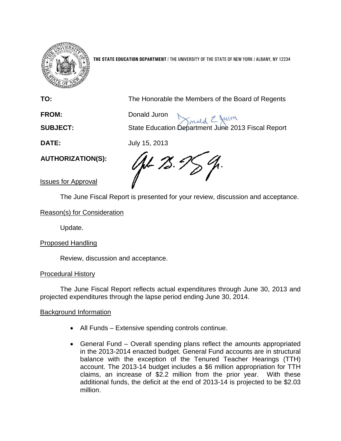

**THE STATE EDUCATION DEPARTMENT** / THE UNIVERSITY OF THE STATE OF NEW YORK / ALBANY, NY 12234

**TO:** The Honorable the Members of the Board of Regents

**FROM:** Donald Juron

**SUBJECT:** State Education Department June 2013 Fiscal Report

**DATE:** July 15, 2013

**AUTHORIZATION(S):**

GH 75.9

Issues for Approval

The June Fiscal Report is presented for your review, discussion and acceptance.

Reason(s) for Consideration

Update.

# Proposed Handling

Review, discussion and acceptance.

# Procedural History

The June Fiscal Report reflects actual expenditures through June 30, 2013 and projected expenditures through the lapse period ending June 30, 2014.

# Background Information

- All Funds Extensive spending controls continue.
- General Fund Overall spending plans reflect the amounts appropriated in the 2013-2014 enacted budget. General Fund accounts are in structural balance with the exception of the Tenured Teacher Hearings (TTH) account. The 2013-14 budget includes a \$6 million appropriation for TTH claims, an increase of \$2.2 million from the prior year. With these additional funds, the deficit at the end of 2013-14 is projected to be \$2.03 million.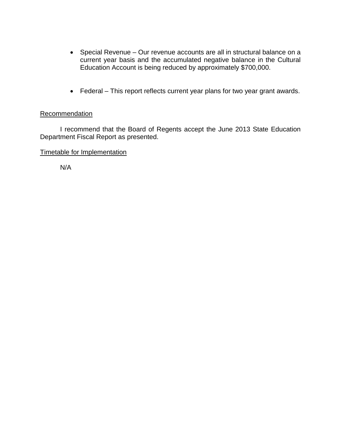- Special Revenue Our revenue accounts are all in structural balance on a current year basis and the accumulated negative balance in the Cultural Education Account is being reduced by approximately \$700,000.
- Federal This report reflects current year plans for two year grant awards.

## **Recommendation**

I recommend that the Board of Regents accept the June 2013 State Education Department Fiscal Report as presented.

Timetable for Implementation

N/A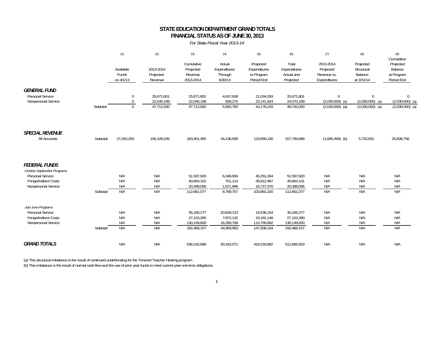### **STATE EDUCATION DEPARTMENT GRAND TOTALS FINANCIAL STATUS AS OF JUNE 30, 2013**

#### *For State Fiscal Year 2013-14*

|                                                                                                                        |          | (1)                             | (2)                                    | (3)                                                      | (4)                                                 | (5)                                                    | (6)                                                      | (7)                                                    | (8)                                                | (9)<br>Cumulative                                      |
|------------------------------------------------------------------------------------------------------------------------|----------|---------------------------------|----------------------------------------|----------------------------------------------------------|-----------------------------------------------------|--------------------------------------------------------|----------------------------------------------------------|--------------------------------------------------------|----------------------------------------------------|--------------------------------------------------------|
|                                                                                                                        |          | Available<br>Funds<br>on 4/1/13 | 2013-2014<br>Projected<br>Revenue      | Cumulative<br>Projected<br>Revenue<br>2013-2014          | Actual<br>Expenditures<br>Through<br>6/30/13        | Projected<br>Expenditures<br>to Program<br>Period End  | Total<br>Expenditures<br>Actual and<br>Projected         | 2013-2014<br>Projected<br>Revenue vs.<br>Expenditures  | Projected<br>Structural<br>Balance<br>at 3/31/14   | Projected<br>Balance<br>at Program<br>Period End       |
| <b>GENERAL FUND</b><br>Personal Service<br>Nonpersonal Service                                                         | Subtotal | 0<br>0<br>0                     | 25.671.801<br>22,040,199<br>47,712,000 | 25,671,801<br>22,040,199<br>47,712,000                   | 4,637,508<br>928,275<br>5,565,782                   | 21,034,293<br>23,141,924<br>44,176,218                 | 25,671,801<br>24,070,199<br>49,742,000                   | $\mathbf{0}$<br>$(2,030,000)$ (a)<br>$(2,030,000)$ (a) | $\Omega$<br>$(2,030,000)$ (a)<br>$(2,030,000)$ (a) | $\mathbf{0}$<br>$(2,030,000)$ (a)<br>$(2,030,000)$ (a) |
| <b>SPECIAL REVENUE</b><br>All Accounts                                                                                 | Subtotal | 27,292,250                      | 156,109,205                            | 183,401,455                                              | 34,136,569                                          | 123,658,130                                            | 157,794,699                                              | $(1,685,494)$ (b)                                      | 5,732,652                                          | 25,606,756                                             |
| <b>FEDERAL FUNDS</b><br>October-September Programs<br>Personal Service<br>Fringe/Indirect Costs<br>Nonpersonal Service | Subtotal | N/A<br>N/A<br>N/A<br>N/A        | N/A<br>N/A<br>N/A<br>N/A               | 51,597,920<br>40,664,101<br>20,399,056<br>112,661,077    | 6,346,656<br>751,114<br>1,671,986<br>8.769.757      | 45,251,264<br>39,912,987<br>18,727,070<br>103,891,320  | 51,597,920<br>40,664,101<br>20,399,056<br>112,661,077    | N/A<br>N/A<br>N/A<br>N/A                               | N/A<br>N/A<br>N/A<br>N/A                           | N/A<br>N/A<br>N/A<br>N/A                               |
| July-June Programs<br>Personal Service<br>Fringe/Indirect Costs<br>Nonpersonal Service                                 | Subtotal | N/A<br>N/A<br>N/A<br>N/A        | N/A<br>N/A<br>N/A<br>N/A               | 35, 165, 277<br>27,153,280<br>130,149,600<br>192,468,157 | 20,629,123<br>7,972,132<br>16,358,708<br>44,959,963 | 14,536,154<br>19,181,148<br>113,790,892<br>147,508,194 | 35, 165, 277<br>27,153,280<br>130,149,600<br>192,468,157 | N/A<br>N/A<br>N/A<br>N/A                               | N/A<br>N/A<br>N/A<br>N/A                           | N/A<br>N/A<br>N/A<br>N/A                               |
| <b>GRAND TOTALS</b>                                                                                                    |          | N/A                             | N/A                                    | 536,242,689                                              | 93,432,071                                          | 419,233,862                                            | 512,665,933                                              | N/A                                                    | N/A                                                | N/A                                                    |

(a) This structural imbalance is the result of continued underfunding for the Tenured Teacher Hearing program. (b) This imbalance is the result of normal cash flow and the use of prior year funds to meet current year one-time obligations.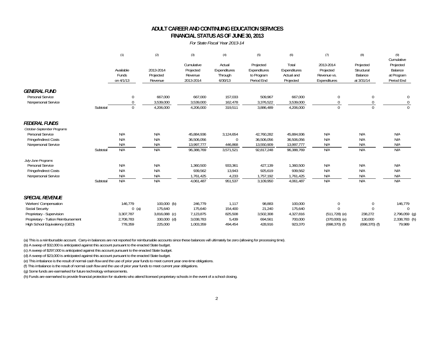### **FINANCIAL STATUS AS OF JUNE 30, 2013 ADULT CAREER AND CONTINUING EDUCATION SERVICES**

### *For State Fiscal Year 2013-14*

|                                                                |          | (1)                             | (2)                               | (3)                                             | (4)                                          | (5)                                                   | (6)                                              | (7)                                                   | (8)                                              | (9)<br>Cumulative                                |
|----------------------------------------------------------------|----------|---------------------------------|-----------------------------------|-------------------------------------------------|----------------------------------------------|-------------------------------------------------------|--------------------------------------------------|-------------------------------------------------------|--------------------------------------------------|--------------------------------------------------|
|                                                                |          | Available<br>Funds<br>on 4/1/13 | 2013-2014<br>Projected<br>Revenue | Cumulative<br>Projected<br>Revenue<br>2013-2014 | Actual<br>Expenditures<br>Through<br>6/30/13 | Projected<br>Expenditures<br>to Program<br>Period End | Total<br>Expenditures<br>Actual and<br>Projected | 2013-2014<br>Projected<br>Revenue vs.<br>Expenditures | Projected<br>Structural<br>Balance<br>at 3/31/14 | Projected<br>Balance<br>at Program<br>Period End |
| <b>GENERAL FUND</b><br>Personal Service<br>Nonpersonal Service |          | $\mathbf 0$<br>$\Omega$         | 667,000<br>3,539,000              | 667,000<br>3,539,000                            | 157,033<br>162,478                           | 509,967<br>3,376,522                                  | 667,000<br>3,539,000                             | $\mathbf 0$<br>$\Omega$                               | $\overline{0}$<br>$\Omega$                       | 0<br>0                                           |
|                                                                | Subtotal | $\Omega$                        | 4,206,000                         | 4,206,000                                       | 319,511                                      | 3,886,489                                             | 4,206,000                                        | $\Omega$                                              | $\Omega$                                         | $\Omega$                                         |
| <b>FEDERAL FUNDS</b><br>October-September Programs             |          |                                 |                                   |                                                 |                                              |                                                       |                                                  |                                                       |                                                  |                                                  |
| Personal Service                                               |          | N/A                             | N/A                               | 45,884,936                                      | 3,124,654                                    | 42,760,282                                            | 45,884,936                                       | N/A                                                   | N/A                                              | N/A                                              |
| Fringe/Indirect Costs                                          |          | N/A                             | N/A                               | 36,506,056                                      | $\mathbf 0$                                  | 36,506,056                                            | 36,506,056                                       | N/A                                                   | N/A                                              | N/A                                              |
| Nonpersonal Service                                            |          | N/A                             | N/A                               | 13,997,777                                      | 446,868                                      | 13,550,909                                            | 13,997,777                                       | N/A                                                   | N/A                                              | N/A                                              |
|                                                                | Subtotal | N/A                             | N/A                               | 96,388,769                                      | 3,571,521                                    | 92,817,248                                            | 96,388,769                                       | N/A                                                   | N/A                                              | N/A                                              |
| July-June Programs                                             |          |                                 |                                   |                                                 |                                              |                                                       |                                                  |                                                       |                                                  |                                                  |
| Personal Service                                               |          | N/A                             | N/A                               | 1,360,500                                       | 933,361                                      | 427,139                                               | 1,360,500                                        | N/A                                                   | N/A                                              | N/A                                              |
| Fringe/Indirect Costs                                          |          | N/A                             | N/A                               | 939,562                                         | 13,943                                       | 925,619                                               | 939,562                                          | N/A                                                   | N/A                                              | N/A                                              |
| Nonpersonal Service                                            |          | N/A                             | N/A                               | 1,761,425                                       | 4,233                                        | 1,757,192                                             | 1,761,425                                        | N/A                                                   | N/A                                              | N/A                                              |
|                                                                | Subtotal | N/A                             | N/A                               | 4,061,487                                       | 951,537                                      | 3,109,950                                             | 4,061,487                                        | N/A                                                   | N/A                                              | N/A                                              |
| <b>SPECIAL REVENUE</b>                                         |          |                                 |                                   |                                                 |                                              |                                                       |                                                  |                                                       |                                                  |                                                  |
| Workers' Compensation                                          |          | 146,779                         | $100,000$ (b)                     | 246,779                                         | 1.117                                        | 98,883                                                | 100,000                                          | $\pmb{0}$                                             | $\mathbf 0$                                      | 146,779                                          |
| Social Security                                                |          | $0$ (a)                         | 175,640                           | 175,640                                         | 154,400                                      | 21,240                                                | 175,640                                          | $\Omega$                                              | $\Omega$                                         | $\mathbf 0$                                      |
| Proprietary - Supervision                                      |          | 3,307,787                       | 3,816,088 (c)                     | 7,123,875                                       | 825,508                                      | 3,502,308                                             | 4,327,816                                        | $(511, 728)$ (e)                                      | 238,272                                          | 2,796,059 (g)                                    |
| Proprietary - Tuition Reimbursement                            |          | 2,708,783                       | 330,000 (d)                       | 3,038,783                                       | 5,439                                        | 694,561                                               | 700,000                                          | $(370,000)$ (e)                                       | 130,000                                          | 2,338,783 (h)                                    |
| High School Equivalency (GED)                                  |          | 778.359                         | 225.000                           | 1.003.359                                       | 494.454                                      | 428,916                                               | 923,370                                          | $(698, 370)$ (f)                                      | $(698, 370)$ (f)                                 | 79.989                                           |

(a) This is a reimbursable account. Carry-in balances are not reported for reimbursable accounts since these balances will ultimately be zero (allowing for processing time).

(b) A sweep of \$32,000 is anticipated against this account pursuant to the enacted State budget.

(c) A sweep of \$297,000 is anticipated against this account pursuant to the enacted State budget.

(d) A sweep of \$23,000 is anticipated against this account pursuant to the enacted State budget.

(e) This imbalance is the result of normal cash flow and the use of prior year funds to meet current year one-time obligations.

(f) This imbalance is the result of normal cash flow and the use of prior year funds to meet current year obligations.

(g) Some funds are earmarked for future technology enhancements.

(h) Funds are earmarked to provide financial protection for students who attend licensed proprietary schools in the event of a school closing.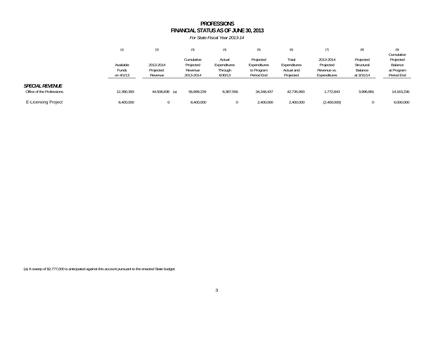### **FINANCIAL STATUS AS OF JUNE 30, 2013 PROFESSIONS**

*For State Fiscal Year 2013-14*

|                                                     | (1)                             | (2)                               |                                                 | (4)                                          | (5)                                                   | (6)                                              | (7)                                                   | (8)                                              | (9)<br>Cumulative                                |
|-----------------------------------------------------|---------------------------------|-----------------------------------|-------------------------------------------------|----------------------------------------------|-------------------------------------------------------|--------------------------------------------------|-------------------------------------------------------|--------------------------------------------------|--------------------------------------------------|
|                                                     | Available<br>Funds<br>on 4/1/13 | 2013-2014<br>Projected<br>Revenue | Cumulative<br>Projected<br>Revenue<br>2013-2014 | Actual<br>Expenditures<br>Through<br>6/30/13 | Projected<br>Expenditures<br>to Program<br>Period End | Total<br>Expenditures<br>Actual and<br>Projected | 2013-2014<br>Projected<br>Revenue vs.<br>Expenditures | Projected<br>Structural<br>Balance<br>at 3/31/14 | Projected<br>Balance<br>at Program<br>Period End |
| <b>SPECIAL REVENUE</b><br>Office of the Professions | 12,390,393                      | 44,508,836 (a)                    | 56,899,229                                      | 8,387,556                                    | 34, 348, 437                                          | 42,735,993                                       | 1,772,843                                             | 3,996,891                                        | 14,163,236                                       |
| <b>E-Licensing Project</b>                          | 8,400,000                       |                                   | 8,400,000                                       |                                              | 2,400,000                                             | 2,400,000                                        | (2,400,000)                                           |                                                  | 6,000,000                                        |

(a) A sweep of \$2,777,000 is anticipated against this account pursuant to the enacted State budget.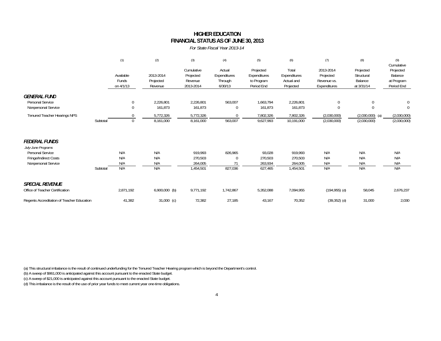### **HIGHER EDUCATIONFINANCIAL STATUS AS OF JUNE 30, 2013**

*For State Fiscal Year 2013-14*

|                                              |          | (1)                             | (2)                               | (3)                                             | (4)                                          | (5)                                                   | (6)                                              | (7)                                                   | (8)                                              | (9)<br>Cumulative                                |
|----------------------------------------------|----------|---------------------------------|-----------------------------------|-------------------------------------------------|----------------------------------------------|-------------------------------------------------------|--------------------------------------------------|-------------------------------------------------------|--------------------------------------------------|--------------------------------------------------|
|                                              |          | Available<br>Funds<br>on 4/1/13 | 2013-2014<br>Projected<br>Revenue | Cumulative<br>Projected<br>Revenue<br>2013-2014 | Actual<br>Expenditures<br>Through<br>6/30/13 | Projected<br>Expenditures<br>to Program<br>Period End | Total<br>Expenditures<br>Actual and<br>Projected | 2013-2014<br>Projected<br>Revenue vs.<br>Expenditures | Projected<br>Structural<br>Balance<br>at 3/31/14 | Projected<br>Balance<br>at Program<br>Period End |
| <b>GENERAL FUND</b><br>Personal Service      |          | 0                               | 2,226,801                         | 2,226,801                                       | 563,007                                      | 1,663,794                                             | 2,226,801                                        | 0                                                     | $\mathbf 0$                                      | $\theta$                                         |
| Nonpersonal Service                          |          | $\mathbf{0}$                    | 161,873                           | 161,873                                         | $\mathbf 0$                                  | 161,873                                               | 161,873                                          | $\Omega$                                              | $\theta$                                         | $\mathbf 0$                                      |
| Tenured Teacher Hearings NPS                 | Subtotal | $\Omega$<br>$\mathbf 0$         | 5,772,326<br>8,161,000            | 5,772,326<br>8,161,000                          | $\Omega$<br>563,007                          | 7,802,326<br>9,627,993                                | 7,802,326<br>10,191,000                          | (2,030,000)<br>(2,030,000)                            | $(2,030,000)$ (a)<br>(2,030,000)                 | (2,030,000)<br>(2,030,000)                       |
| <b>FEDERAL FUNDS</b><br>July-June Programs   |          |                                 |                                   |                                                 |                                              |                                                       |                                                  |                                                       |                                                  |                                                  |
| Personal Service                             |          | N/A                             | N/A                               | 919,993                                         | 826,965                                      | 93,028                                                | 919,993                                          | N/A                                                   | N/A                                              | N/A                                              |
| Fringe/Indirect Costs<br>Nonpersonal Service |          | N/A<br>N/A                      | N/A<br>N/A                        | 270,503<br>264,005                              | 0<br>71                                      | 270,503<br>263,934                                    | 270,503<br>264,005                               | N/A<br>N/A                                            | N/A<br>N/A                                       | N/A<br>N/A                                       |
|                                              | Subtotal | N/A                             | N/A                               | 1,454,501                                       | 827,036                                      | 627,465                                               | 1,454,501                                        | N/A                                                   | N/A                                              | N/A                                              |
| <b>SPECIAL REVENUE</b>                       |          |                                 |                                   |                                                 |                                              |                                                       |                                                  |                                                       |                                                  |                                                  |
| Office of Teacher Certification              |          | 2,871,192                       | $6,900,000$ (b)                   | 9,771,192                                       | 1,742,867                                    | 5,352,088                                             | 7,094,955                                        | $(194, 955)$ (d)                                      | 58,045                                           | 2,676,237                                        |
| Regents Accreditation of Teacher Education   |          | 41,382                          | $31,000$ (c)                      | 72,382                                          | 27,185                                       | 43,167                                                | 70,352                                           | $(39, 352)$ (d)                                       | 31,000                                           | 2,030                                            |

(a) This structural imbalance is the result of continued underfunding for the Tenured Teacher Hearing program which is beyond the Department's control.

(b) A sweep of \$861,000 is anticipated against this account pursuant to the enacted State budget.

(c) A sweep of \$21,000 is anticipated against this account pursuant to the enacted State budget.

(d) This imbalance is the result of the use of prior year funds to meet current year one-time obligations.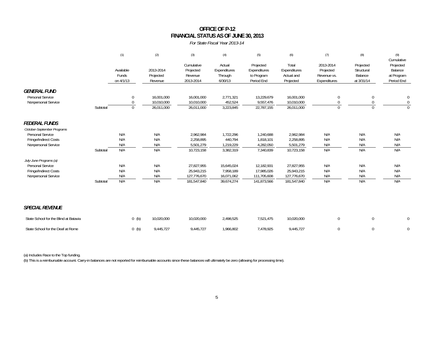## **OFFICE OF P-12FINANCIAL STATUS AS OF JUNE 30, 2013**

*For State Fiscal Year 2013-14*

|                                                                |          | (1)                              | (2)                                    | (3)                                             | (4)                                          | (5)                                                   | (6)                                              | (7)                                                   | (8)                                              | (9)<br>Cumulative                                |
|----------------------------------------------------------------|----------|----------------------------------|----------------------------------------|-------------------------------------------------|----------------------------------------------|-------------------------------------------------------|--------------------------------------------------|-------------------------------------------------------|--------------------------------------------------|--------------------------------------------------|
|                                                                |          | Available<br>Funds<br>on 4/1/13  | 2013-2014<br>Projected<br>Revenue      | Cumulative<br>Projected<br>Revenue<br>2013-2014 | Actual<br>Expenditures<br>Through<br>6/30/13 | Projected<br>Expenditures<br>to Program<br>Period End | Total<br>Expenditures<br>Actual and<br>Projected | 2013-2014<br>Projected<br>Revenue vs.<br>Expenditures | Projected<br>Structural<br>Balance<br>at 3/31/14 | Projected<br>Balance<br>at Program<br>Period End |
| <b>GENERAL FUND</b><br>Personal Service<br>Nonpersonal Service | Subtotal | 0<br>$\mathbf{0}$<br>$\mathbf 0$ | 16,001,000<br>10,010,000<br>26,011,000 | 16,001,000<br>10,010,000<br>26,011,000          | 2,771,321<br>452,524<br>3,223,845            | 13,229,679<br>9,557,476<br>22,787,155                 | 16,001,000<br>10,010,000<br>26,011,000           | $\mathbf 0$<br>$\mathbf{0}$<br>$\Omega$               | $\mathbf{0}$<br>$\Omega$                         | $\mathbf{0}$<br>$\mathbf 0$<br>$\Omega$          |
|                                                                |          |                                  |                                        |                                                 |                                              |                                                       |                                                  |                                                       |                                                  |                                                  |
| <b>FEDERAL FUNDS</b><br>October-September Programs             |          |                                  |                                        |                                                 |                                              |                                                       |                                                  |                                                       |                                                  |                                                  |
| Personal Service<br>Fringe/Indirect Costs                      |          | N/A<br>N/A                       | N/A<br>N/A                             | 2,962,984<br>2,258,895                          | 1,722,296<br>440,794                         | 1,240,688<br>1,818,101                                | 2,962,984                                        | N/A<br>N/A                                            | N/A<br>N/A                                       | N/A<br>N/A                                       |
| Nonpersonal Service                                            |          | N/A                              | N/A                                    | 5,501,279                                       | 1,219,229                                    | 4,282,050                                             | 2,258,895<br>5,501,279                           | N/A                                                   | N/A                                              | N/A                                              |
|                                                                | Subtotal | N/A                              | N/A                                    | 10,723,158                                      | 3,382,319                                    | 7,340,839                                             | 10,723,158                                       | N/A                                                   | N/A                                              | N/A                                              |
| July-June Programs (a)<br>Personal Service                     |          | N/A                              | N/A                                    | 27,827,955                                      | 15,645,024                                   | 12,182,931                                            | 27,827,955                                       | N/A                                                   | N/A                                              | N/A                                              |
| Fringe/Indirect Costs                                          |          | N/A                              | N/A                                    | 25,943,215                                      | 7,958,189                                    | 17,985,026                                            | 25,943,215                                       | N/A                                                   | N/A                                              | N/A                                              |
| Nonpersonal Service                                            |          | N/A                              | N/A                                    | 127,776,670                                     | 16,071,062                                   | 111,705,608                                           | 127,776,670                                      | N/A                                                   | N/A                                              | N/A                                              |
|                                                                | Subtotal | N/A                              | N/A                                    | 181,547,840                                     | 39,674,274                                   | 141,873,566                                           | 181,547,840                                      | N/A                                                   | N/A                                              | N/A                                              |
| <b>SPECIAL REVENUE</b>                                         |          |                                  |                                        |                                                 |                                              |                                                       |                                                  |                                                       |                                                  |                                                  |
| State School for the Blind at Batavia                          |          | $0$ (b)                          | 10,020,000                             | 10,020,000                                      | 2,498,525                                    | 7,521,475                                             | 10,020,000                                       | $\mathbf{0}$                                          | $\mathbf 0$                                      | $\mathbf 0$                                      |
| State School for the Deaf at Rome                              |          | $0$ (b)                          | 9,445,727                              | 9,445,727                                       | 1,966,802                                    | 7,478,925                                             | 9,445,727                                        | $\Omega$                                              | $\theta$                                         | $\mathbf 0$                                      |

(a) Includes Race to the Top funding.

(b) This is a reimbursable account. Carry-in balances are not reported for reimbursable accounts since these balances will ultimately be zero (allowing for processing time).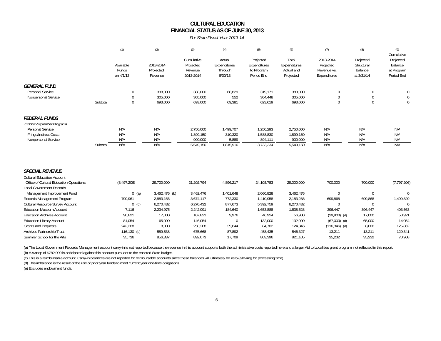## **FINANCIAL STATUS AS OF JUNE 30, 2013 CULTURAL EDUCATION**

*For State Fiscal Year 2013-14*

|                                                                                                                 |          | (1)                             | (2)                               | (3)                                             | (4)                                          | (5)                                                   | (6)                                              | (7)                                                   | (8)                                              | (9)<br>Cumulative                                |
|-----------------------------------------------------------------------------------------------------------------|----------|---------------------------------|-----------------------------------|-------------------------------------------------|----------------------------------------------|-------------------------------------------------------|--------------------------------------------------|-------------------------------------------------------|--------------------------------------------------|--------------------------------------------------|
|                                                                                                                 |          | Available<br>Funds<br>on 4/1/13 | 2013-2014<br>Projected<br>Revenue | Cumulative<br>Projected<br>Revenue<br>2013-2014 | Actual<br>Expenditures<br>Through<br>6/30/13 | Projected<br>Expenditures<br>to Program<br>Period End | Total<br>Expenditures<br>Actual and<br>Projected | 2013-2014<br>Projected<br>Revenue vs.<br>Expenditures | Projected<br>Structural<br>Balance<br>at 3/31/14 | Projected<br>Balance<br>at Program<br>Period End |
| <b>GENERAL FUND</b><br>Personal Service<br>Nonpersonal Service                                                  |          | $\pmb{0}$<br>$\mathbf 0$        | 388,000<br>305,000                | 388,000<br>305,000                              | 68,829<br>552                                | 319,171<br>304,448                                    | 388,000<br>305,000                               | 0<br>$\Omega$                                         | $\mathbf 0$<br>0                                 | $\Omega$                                         |
|                                                                                                                 | Subtotal | $\Omega$                        | 693,000                           | 693,000                                         | 69,381                                       | 623,619                                               | 693,000                                          | $\Omega$                                              | $\Omega$                                         |                                                  |
| <b>FEDERAL FUNDS</b><br>October-September Programs                                                              |          |                                 |                                   |                                                 |                                              |                                                       |                                                  |                                                       |                                                  |                                                  |
| Personal Service<br>Fringe/Indirect Costs<br>Nonpersonal Service                                                |          | N/A<br>N/A<br>N/A               | N/A<br>N/A<br>N/A                 | 2,750,000<br>1,899,150<br>900,000               | 1,499,707<br>310,320<br>5,889                | 1,250,293<br>1,588,830<br>894,111                     | 2,750,000<br>1,899,150<br>900,000                | N/A<br>N/A<br>N/A                                     | N/A<br>N/A<br>N/A                                | N/A<br>N/A<br>N/A                                |
|                                                                                                                 | Subtotal | N/A                             | N/A                               | 5,549,150                                       | 1,815,916                                    | 3,733,234                                             | 5,549,150                                        | N/A                                                   | N/A                                              | N/A                                              |
| <b>SPECIAL REVENUE</b>                                                                                          |          |                                 |                                   |                                                 |                                              |                                                       |                                                  |                                                       |                                                  |                                                  |
| <b>Cultural Education Account</b><br>Office of Cultural Education-Operations<br><b>Local Government Records</b> |          | (8,497,206)                     | 29,700,000                        | 21,202,794                                      | 4,896,217                                    | 24,103,783                                            | 29,000,000                                       | 700,000                                               | 700,000                                          | (7, 797, 206)                                    |
| Management Improvement Fund                                                                                     |          | $0$ (a)                         | $3,462,476$ (b)                   | 3,462,476                                       | 1,401,648                                    | 2,060,828                                             | 3,462,476                                        | $\mathbf 0$                                           | $\boldsymbol{0}$                                 | $\Omega$                                         |
| Records Management Program                                                                                      |          | 790,961                         | 2,883,156                         | 3,674,117                                       | 772,330                                      | 1,410,958                                             | 2,183,288                                        | 699,868                                               | 699,868                                          | 1,490,829                                        |
| Cultural Resource Survey Account                                                                                |          | $0$ (c)                         | 6,270,432                         | 6,270,432                                       | 877,673                                      | 5,392,759                                             | 6,270,432                                        | $\Omega$                                              | $\Omega$                                         | $\Omega$                                         |
| <b>Education Museum Account</b>                                                                                 |          | 7,116                           | 2,234,975                         | 2,242,091                                       | 184,640                                      | 1,653,888                                             | 1,838,528                                        | 396,447                                               | 396,447                                          | 403,563                                          |
| <b>Education Archives Account</b>                                                                               |          | 90,821                          | 17,000                            | 107,821                                         | 9,976                                        | 46,924                                                | 56,900                                           | $(39,900)$ (d)                                        | 17,000                                           | 50,921                                           |
| <b>Education Library Account</b><br><b>Grants and Bequests</b>                                                  |          | 81,054<br>242,208               | 65,000<br>8,000                   | 146,054<br>250,208                              | $\mathbf 0$<br>39,644                        | 132,000<br>84,702                                     | 132,000<br>124,346                               | $(67,000)$ (d)<br>$(116, 346)$ (d)                    | 65,000<br>8,000                                  | 14,054<br>125,862                                |
| Archives Partnership Trust                                                                                      |          | 116,130 (e)                     | 559,538                           | 675,668                                         | 87,892                                       | 458,435                                               | 546,327                                          | 13,211                                                | 13,211                                           | 129,341                                          |
| Summer School for the Arts                                                                                      |          | 35,736                          | 856,337                           | 892,073                                         | 17,709                                       | 803,396                                               | 821,105                                          | 35,232                                                | 35,232                                           | 70,968                                           |
|                                                                                                                 |          |                                 |                                   |                                                 |                                              |                                                       |                                                  |                                                       |                                                  |                                                  |

(a) The Local Government Records Management account carry-in is not reported because the revenue in this account supports both the administrative costs reported here and a larger Aid to Localities grant program, not reflec (b) A sweep of \$782,000 is anticipated against this account pursuant to the enacted State budget.

(c) This is a reimbursable account. Carry-in balances are not reported for reimbursable accounts since these balances will ultimately be zero (allowing for processing time).

(d) This imbalance is the result of the use of prior year funds to meet current year one-time obligations.

(e) Excludes endowment funds.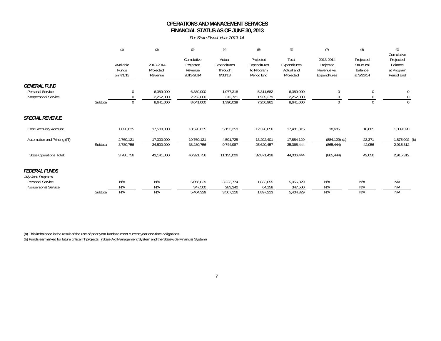### **OPERATIONS AND MANAGEMENT SERVICESFINANCIAL STATUS AS OF JUNE 30, 2013**

*For State Fiscal Year 2013-14*

|                                                                |          | (1)                             | (2)                                 | (3)                                             | (4)                                          | (5)                                                   | (6)                                              | (7)                                                   | (8)                                              | (9)<br>Cumulative                                |
|----------------------------------------------------------------|----------|---------------------------------|-------------------------------------|-------------------------------------------------|----------------------------------------------|-------------------------------------------------------|--------------------------------------------------|-------------------------------------------------------|--------------------------------------------------|--------------------------------------------------|
|                                                                |          | Available<br>Funds<br>on 4/1/13 | 2013-2014<br>Projected<br>Revenue   | Cumulative<br>Projected<br>Revenue<br>2013-2014 | Actual<br>Expenditures<br>Through<br>6/30/13 | Projected<br>Expenditures<br>to Program<br>Period End | Total<br>Expenditures<br>Actual and<br>Projected | 2013-2014<br>Projected<br>Revenue vs.<br>Expenditures | Projected<br>Structural<br>Balance<br>at 3/31/14 | Projected<br>Balance<br>at Program<br>Period End |
| <b>GENERAL FUND</b><br>Personal Service<br>Nonpersonal Service | Subtotal | $\mathbf{0}$<br>$\mathbf 0$     | 6,389,000<br>2,252,000<br>8,641,000 | 6,389,000<br>2,252,000<br>8,641,000             | 1,077,318<br>312,721<br>1,390,039            | 5,311,682<br>1,939,279<br>7,250,961                   | 6,389,000<br>2,252,000<br>8,641,000              | 0<br>$\Omega$<br>$\Omega$                             | 0<br>$\Omega$<br>$\Omega$                        | 0<br>$\Omega$                                    |
| <b>SPECIAL REVENUE</b>                                         |          |                                 |                                     |                                                 |                                              |                                                       |                                                  |                                                       |                                                  |                                                  |
| Cost Recovery Account                                          |          | 1,020,635                       | 17,500,000                          | 18,520,635                                      | 5,153,259                                    | 12,328,056                                            | 17,481,315                                       | 18,685                                                | 18,685                                           | 1,039,320                                        |
| Automation and Printing (IT)                                   | Subtotal | 2,760,121<br>3,780,756          | 17,000,000<br>34,500,000            | 19,760,121<br>38,280,756                        | 4,591,728<br>9,744,987                       | 13,292,401<br>25,620,457                              | 17,884,129<br>35,365,444                         | $(884, 129)$ (a)<br>(865, 444)                        | 23,371<br>42,056                                 | 1,875,992 (b)<br>2,915,312                       |
| <b>State Operations Total:</b>                                 |          | 3,780,756                       | 43,141,000                          | 46,921,756                                      | 11,135,026                                   | 32,871,418                                            | 44,006,444                                       | (865, 444)                                            | 42,056                                           | 2,915,312                                        |
| <b>FEDERAL FUNDS</b><br>July-June Programs                     |          |                                 |                                     |                                                 |                                              |                                                       |                                                  |                                                       |                                                  |                                                  |
| Personal Service                                               |          | N/A                             | N/A                                 | 5,056,829                                       | 3,223,774                                    | 1,833,055                                             | 5,056,829                                        | N/A                                                   | N/A                                              | N/A                                              |
| Nonpersonal Service                                            |          | N/A                             | N/A                                 | 347,500                                         | 283,342                                      | 64,158                                                | 347,500                                          | N/A                                                   | N/A                                              | N/A                                              |
|                                                                | Subtotal | N/A                             | N/A                                 | 5,404,329                                       | 3,507,116                                    | 1,897,213                                             | 5,404,329                                        | N/A                                                   | N/A                                              | N/A                                              |

(a) This imbalance is the result of the use of prior year funds to meet current year one-time obligations. (b) Funds earmarked for future critical IT projects. (State Aid Management System and the Statewide Financial System)